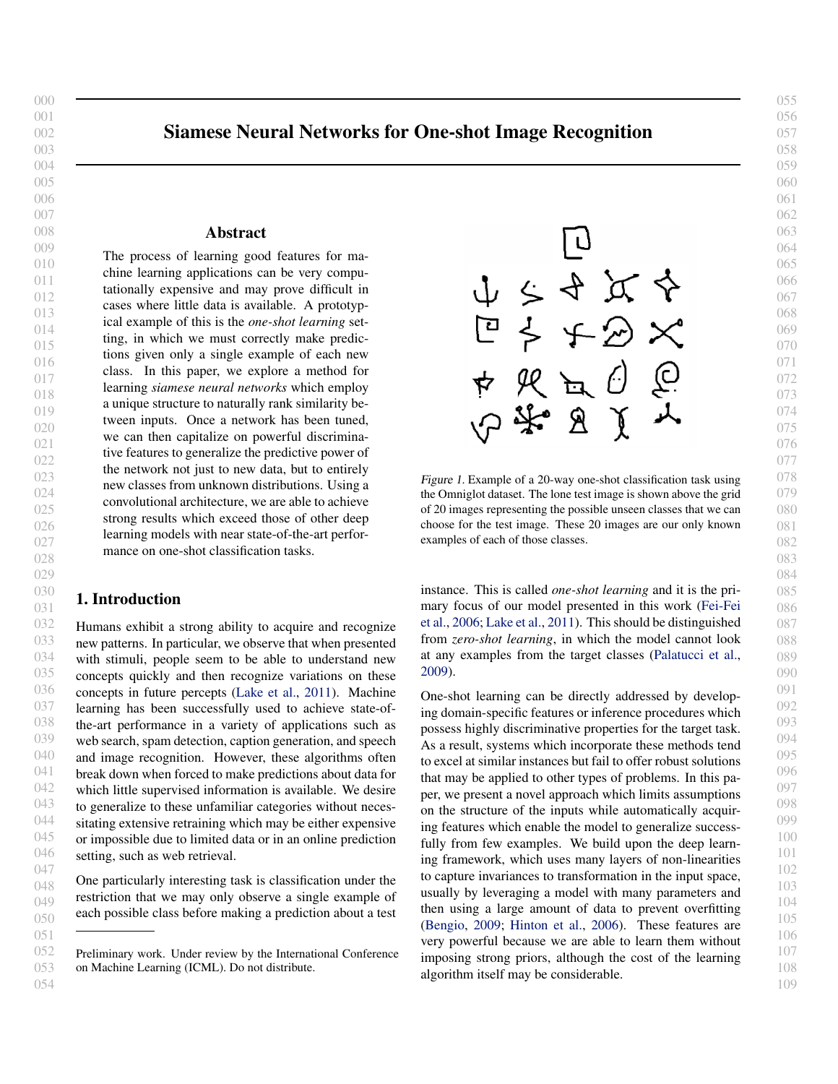# Siamese Neural Networks for One-shot Image Recognition

### Abstract

The process of learning good features for machine learning applications can be very computationally expensive and may prove difficult in cases where little data is available. A prototypical example of this is the *one-shot learning* setting, in which we must correctly make predictions given only a single example of each new class. In this paper, we explore a method for learning *siamese neural networks* which employ a unique structure to naturally rank similarity between inputs. Once a network has been tuned, we can then capitalize on powerful discriminative features to generalize the predictive power of the network not just to new data, but to entirely new classes from unknown distributions. Using a convolutional architecture, we are able to achieve strong results which exceed those of other deep learning models with near state-of-the-art performance on one-shot classification tasks.

### 1. Introduction

 Humans exhibit a strong ability to acquire and recognize new patterns. In particular, we observe that when presented with stimuli, people seem to be able to understand new concepts quickly and then recognize variations on these concepts in future percepts [\(Lake et al.,](#page-7-0) [2011\)](#page-7-0). Machine learning has been successfully used to achieve state-ofthe-art performance in a variety of applications such as web search, spam detection, caption generation, and speech and image recognition. However, these algorithms often break down when forced to make predictions about data for which little supervised information is available. We desire to generalize to these unfamiliar categories without necessitating extensive retraining which may be either expensive or impossible due to limited data or in an online prediction setting, such as web retrieval.

 One particularly interesting task is classification under the restriction that we may only observe a single example of each possible class before making a prediction about a test

 Preliminary work. Under review by the International Conference on Machine Learning (ICML). Do not distribute.





Figure 1. Example of a 20-way one-shot classification task using the Omniglot dataset. The lone test image is shown above the grid of 20 images representing the possible unseen classes that we can choose for the test image. These 20 images are our only known examples of each of those classes.

instance. This is called *one-shot learning* and it is the primary focus of our model presented in this work [\(Fei-Fei](#page-6-0) [et al.,](#page-6-0) [2006;](#page-6-0) [Lake et al.,](#page-7-0) [2011\)](#page-7-0). This should be distinguished from *zero-shot learning*, in which the model cannot look at any examples from the target classes [\(Palatucci et al.,](#page-7-0) [2009\)](#page-7-0).

One-shot learning can be directly addressed by developing domain-specific features or inference procedures which possess highly discriminative properties for the target task. As a result, systems which incorporate these methods tend to excel at similar instances but fail to offer robust solutions that may be applied to other types of problems. In this paper, we present a novel approach which limits assumptions on the structure of the inputs while automatically acquiring features which enable the model to generalize successfully from few examples. We build upon the deep learning framework, which uses many layers of non-linearities to capture invariances to transformation in the input space, usually by leveraging a model with many parameters and then using a large amount of data to prevent overfitting [\(Bengio,](#page-6-0) [2009;](#page-6-0) [Hinton et al.,](#page-7-0) [2006\)](#page-7-0). These features are very powerful because we are able to learn them without imposing strong priors, although the cost of the learning algorithm itself may be considerable.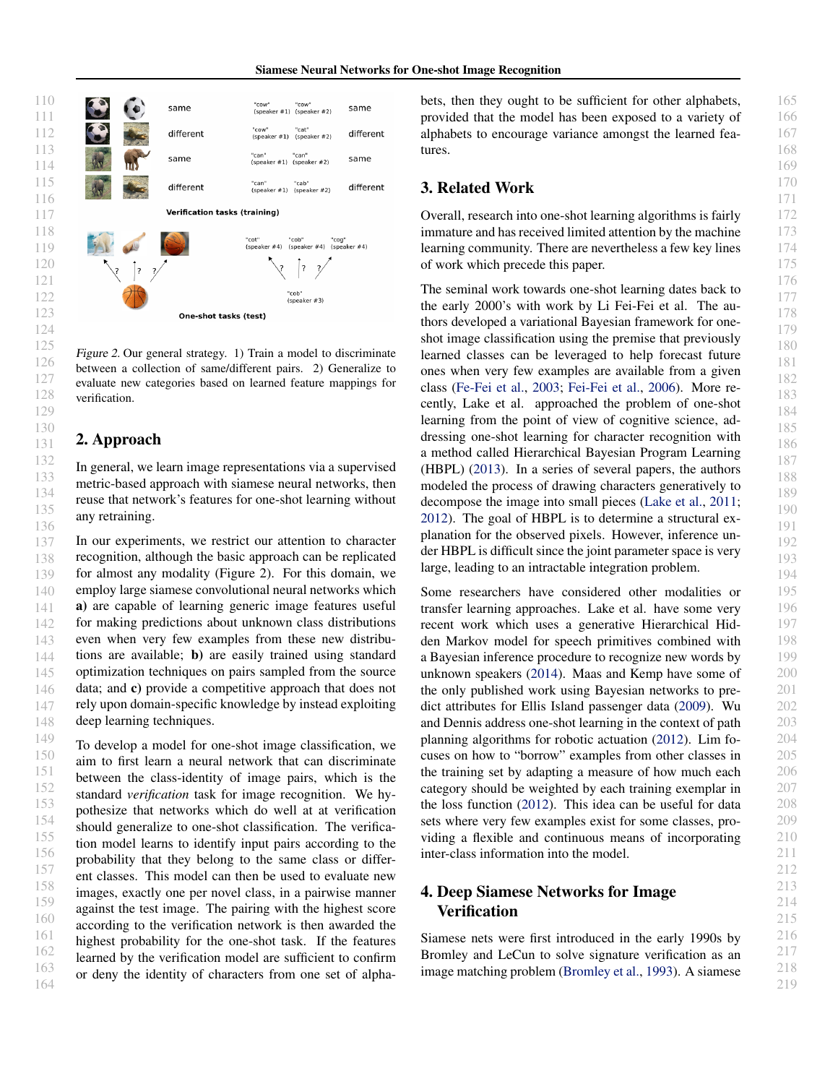

Figure 2. Our general strategy. 1) Train a model to discriminate between a collection of same/different pairs. 2) Generalize to evaluate new categories based on learned feature mappings for verification.

### 2. Approach

In general, we learn image representations via a supervised metric-based approach with siamese neural networks, then reuse that network's features for one-shot learning without any retraining.

In our experiments, we restrict our attention to character recognition, although the basic approach can be replicated for almost any modality (Figure 2). For this domain, we employ large siamese convolutional neural networks which a) are capable of learning generic image features useful for making predictions about unknown class distributions even when very few examples from these new distributions are available; b) are easily trained using standard optimization techniques on pairs sampled from the source data; and c) provide a competitive approach that does not rely upon domain-specific knowledge by instead exploiting deep learning techniques.

164 To develop a model for one-shot image classification, we aim to first learn a neural network that can discriminate between the class-identity of image pairs, which is the standard *verification* task for image recognition. We hypothesize that networks which do well at at verification should generalize to one-shot classification. The verification model learns to identify input pairs according to the probability that they belong to the same class or different classes. This model can then be used to evaluate new images, exactly one per novel class, in a pairwise manner against the test image. The pairing with the highest score according to the verification network is then awarded the highest probability for the one-shot task. If the features learned by the verification model are sufficient to confirm or deny the identity of characters from one set of alphabets, then they ought to be sufficient for other alphabets, provided that the model has been exposed to a variety of alphabets to encourage variance amongst the learned features.

### 3. Related Work

Overall, research into one-shot learning algorithms is fairly immature and has received limited attention by the machine learning community. There are nevertheless a few key lines of work which precede this paper.

The seminal work towards one-shot learning dates back to the early 2000's with work by Li Fei-Fei et al. The authors developed a variational Bayesian framework for oneshot image classification using the premise that previously learned classes can be leveraged to help forecast future ones when very few examples are available from a given class [\(Fe-Fei et al.,](#page-6-0) [2003;](#page-6-0) [Fei-Fei et al.,](#page-6-0) [2006\)](#page-6-0). More recently, Lake et al. approached the problem of one-shot learning from the point of view of cognitive science, addressing one-shot learning for character recognition with a method called Hierarchical Bayesian Program Learning (HBPL) [\(2013\)](#page-7-0). In a series of several papers, the authors modeled the process of drawing characters generatively to decompose the image into small pieces [\(Lake et al.,](#page-7-0) [2011;](#page-7-0) [2012\)](#page-7-0). The goal of HBPL is to determine a structural explanation for the observed pixels. However, inference under HBPL is difficult since the joint parameter space is very large, leading to an intractable integration problem.

Some researchers have considered other modalities or transfer learning approaches. Lake et al. have some very recent work which uses a generative Hierarchical Hidden Markov model for speech primitives combined with a Bayesian inference procedure to recognize new words by unknown speakers [\(2014\)](#page-7-0). Maas and Kemp have some of the only published work using Bayesian networks to predict attributes for Ellis Island passenger data [\(2009\)](#page-7-0). Wu and Dennis address one-shot learning in the context of path planning algorithms for robotic actuation [\(2012\)](#page-7-0). Lim focuses on how to "borrow" examples from other classes in the training set by adapting a measure of how much each category should be weighted by each training exemplar in the loss function [\(2012\)](#page-7-0). This idea can be useful for data sets where very few examples exist for some classes, providing a flexible and continuous means of incorporating inter-class information into the model.

## 4. Deep Siamese Networks for Image **Verification**

Siamese nets were first introduced in the early 1990s by Bromley and LeCun to solve signature verification as an image matching problem [\(Bromley et al.,](#page-6-0) [1993\)](#page-6-0). A siamese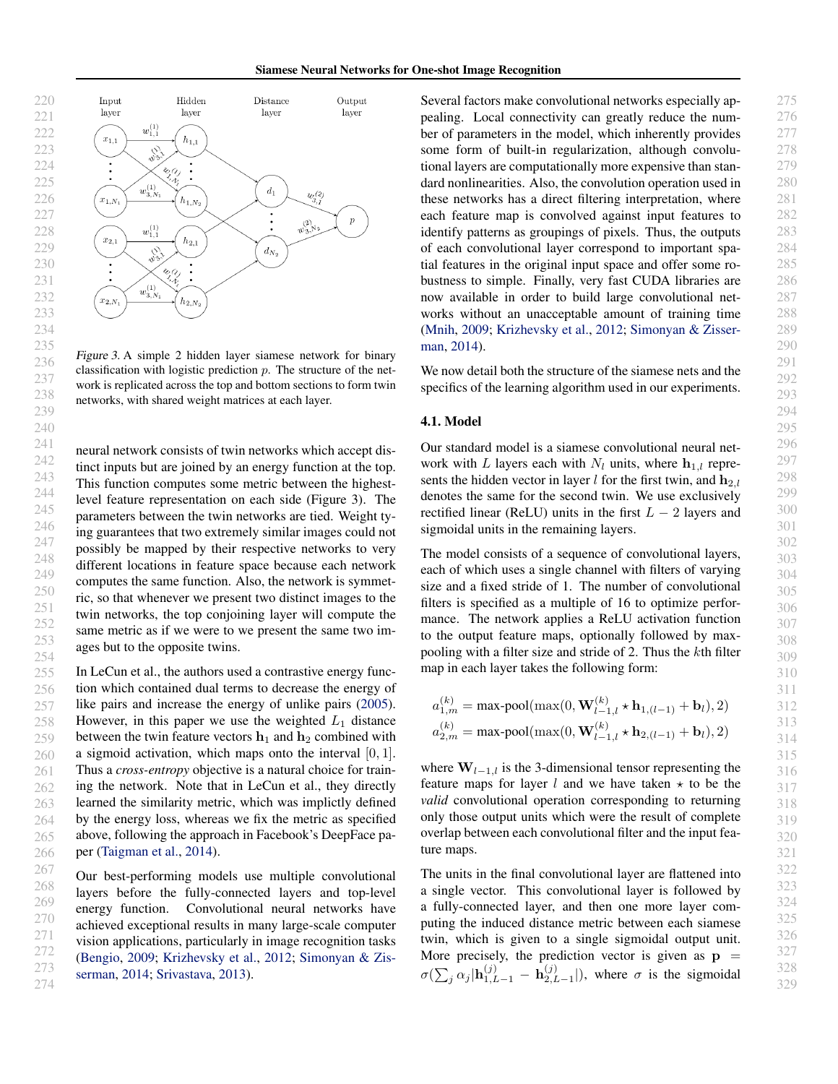

Figure 3. A simple 2 hidden layer siamese network for binary classification with logistic prediction  $p$ . The structure of the network is replicated across the top and bottom sections to form twin networks, with shared weight matrices at each layer.

neural network consists of twin networks which accept distinct inputs but are joined by an energy function at the top. This function computes some metric between the highestlevel feature representation on each side (Figure 3). The parameters between the twin networks are tied. Weight tying guarantees that two extremely similar images could not possibly be mapped by their respective networks to very different locations in feature space because each network computes the same function. Also, the network is symmetric, so that whenever we present two distinct images to the twin networks, the top conjoining layer will compute the same metric as if we were to we present the same two images but to the opposite twins.

In LeCun et al., the authors used a contrastive energy function which contained dual terms to decrease the energy of like pairs and increase the energy of unlike pairs [\(2005\)](#page-6-0). However, in this paper we use the weighted  $L_1$  distance between the twin feature vectors  $\mathbf{h}_1$  and  $\mathbf{h}_2$  combined with a sigmoid activation, which maps onto the interval  $[0, 1]$ . Thus a *cross-entropy* objective is a natural choice for training the network. Note that in LeCun et al., they directly learned the similarity metric, which was implictly defined by the energy loss, whereas we fix the metric as specified above, following the approach in Facebook's DeepFace paper [\(Taigman et al.,](#page-7-0) [2014\)](#page-7-0).

Our best-performing models use multiple convolutional layers before the fully-connected layers and top-level energy function. Convolutional neural networks have achieved exceptional results in many large-scale computer vision applications, particularly in image recognition tasks [\(Bengio,](#page-6-0) [2009;](#page-6-0) [Krizhevsky et al.,](#page-7-0) [2012;](#page-7-0) [Simonyan & Zis](#page-7-0)[serman,](#page-7-0) [2014;](#page-7-0) [Srivastava,](#page-7-0) [2013\)](#page-7-0).

Several factors make convolutional networks especially appealing. Local connectivity can greatly reduce the number of parameters in the model, which inherently provides some form of built-in regularization, although convolutional layers are computationally more expensive than standard nonlinearities. Also, the convolution operation used in these networks has a direct filtering interpretation, where each feature map is convolved against input features to identify patterns as groupings of pixels. Thus, the outputs of each convolutional layer correspond to important spatial features in the original input space and offer some robustness to simple. Finally, very fast CUDA libraries are now available in order to build large convolutional networks without an unacceptable amount of training time [\(Mnih,](#page-7-0) [2009;](#page-7-0) [Krizhevsky et al.,](#page-7-0) [2012;](#page-7-0) [Simonyan & Zisser](#page-7-0)[man,](#page-7-0) [2014\)](#page-7-0).

We now detail both the structure of the siamese nets and the specifics of the learning algorithm used in our experiments.

#### 4.1. Model

Our standard model is a siamese convolutional neural network with L layers each with  $N_l$  units, where  $h_{1,l}$  represents the hidden vector in layer l for the first twin, and  $h_{2,l}$ denotes the same for the second twin. We use exclusively rectified linear (ReLU) units in the first  $L - 2$  layers and sigmoidal units in the remaining layers.

The model consists of a sequence of convolutional layers, each of which uses a single channel with filters of varying size and a fixed stride of 1. The number of convolutional filters is specified as a multiple of 16 to optimize performance. The network applies a ReLU activation function to the output feature maps, optionally followed by maxpooling with a filter size and stride of 2. Thus the kth filter map in each layer takes the following form:

$$
a_{1,m}^{(k)} = \max \text{-pool}(\max(0, \mathbf{W}_{l-1,l}^{(k)} \star \mathbf{h}_{1,(l-1)} + \mathbf{b}_l), 2)
$$
  

$$
a_{2,m}^{(k)} = \max \text{-pool}(\max(0, \mathbf{W}_{l-1,l}^{(k)} \star \mathbf{h}_{2,(l-1)} + \mathbf{b}_l), 2)
$$

where  $W_{l-1,l}$  is the 3-dimensional tensor representing the feature maps for layer  $l$  and we have taken  $\star$  to be the *valid* convolutional operation corresponding to returning only those output units which were the result of complete overlap between each convolutional filter and the input feature maps.

The units in the final convolutional layer are flattened into a single vector. This convolutional layer is followed by a fully-connected layer, and then one more layer computing the induced distance metric between each siamese twin, which is given to a single sigmoidal output unit. More precisely, the prediction vector is given as  $p =$  $\sigma(\sum_j \alpha_j | \mathbf{h}_{1,L-1}^{(j)} ~-~ \mathbf{h}_{2,L}^{(j)}$  $\mathcal{L}_{2,L-1}^{(j)}$ ), where  $\sigma$  is the sigmoidal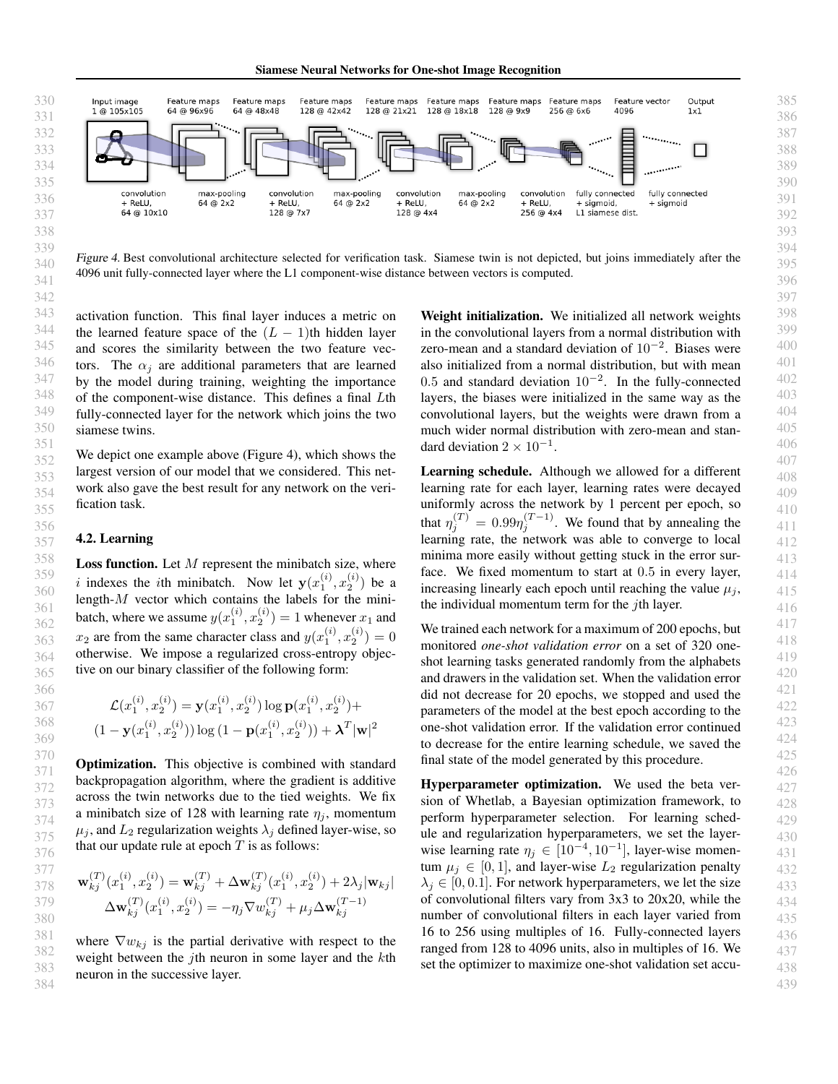Siamese Neural Networks for One-shot Image Recognition



Figure 4. Best convolutional architecture selected for verification task. Siamese twin is not depicted, but joins immediately after the 4096 unit fully-connected layer where the L1 component-wise distance between vectors is computed.

activation function. This final layer induces a metric on the learned feature space of the  $(L - 1)$ th hidden layer and scores the similarity between the two feature vectors. The  $\alpha_i$  are additional parameters that are learned by the model during training, weighting the importance of the component-wise distance. This defines a final Lth fully-connected layer for the network which joins the two siamese twins.

We depict one example above (Figure 4), which shows the largest version of our model that we considered. This network also gave the best result for any network on the verification task.

#### 4.2. Learning

**Loss function.** Let  $M$  represent the minibatch size, where i indexes the ith minibatch. Now let  $y(x_1^{(i)}, x_2^{(i)})$  be a length- $M$  vector which contains the labels for the minibatch, where we assume  $y(x_1^{(i)}, x_2^{(i)}) = 1$  whenever  $x_1$  and  $x_2$  are from the same character class and  $y(x_1^{(i)}, x_2^{(i)}) = 0$ otherwise. We impose a regularized cross-entropy objective on our binary classifier of the following form:

$$
\mathcal{L}(x_1^{(i)}, x_2^{(i)}) = \mathbf{y}(x_1^{(i)}, x_2^{(i)}) \log \mathbf{p}(x_1^{(i)}, x_2^{(i)}) +
$$
  

$$
(1 - \mathbf{y}(x_1^{(i)}, x_2^{(i)})) \log (1 - \mathbf{p}(x_1^{(i)}, x_2^{(i)})) + \boldsymbol{\lambda}^T |\mathbf{w}|^2
$$

**Optimization.** This objective is combined with standard backpropagation algorithm, where the gradient is additive across the twin networks due to the tied weights. We fix a minibatch size of 128 with learning rate  $\eta_i$ , momentum  $\mu_i$ , and  $L_2$  regularization weights  $\lambda_i$  defined layer-wise, so that our update rule at epoch  $T$  is as follows:

$$
\mathbf{w}_{kj}^{(T)}(x_1^{(i)}, x_2^{(i)}) = \mathbf{w}_{kj}^{(T)} + \Delta \mathbf{w}_{kj}^{(T)}(x_1^{(i)}, x_2^{(i)}) + 2\lambda_j |\mathbf{w}_{kj}|
$$
  

$$
\Delta \mathbf{w}_{kj}^{(T)}(x_1^{(i)}, x_2^{(i)}) = -\eta_j \nabla w_{kj}^{(T)} + \mu_j \Delta \mathbf{w}_{kj}^{(T-1)}
$$

where  $\nabla w_{kj}$  is the partial derivative with respect to the weight between the jth neuron in some layer and the kth neuron in the successive layer.

Weight initialization. We initialized all network weights in the convolutional layers from a normal distribution with zero-mean and a standard deviation of  $10^{-2}$ . Biases were also initialized from a normal distribution, but with mean 0.5 and standard deviation  $10^{-2}$ . In the fully-connected layers, the biases were initialized in the same way as the convolutional layers, but the weights were drawn from a much wider normal distribution with zero-mean and standard deviation  $2 \times 10^{-1}$ .

Learning schedule. Although we allowed for a different learning rate for each layer, learning rates were decayed uniformly across the network by 1 percent per epoch, so that  $\eta_j^{(T)} = 0.99 \eta_j^{(T-1)}$ . We found that by annealing the learning rate, the network was able to converge to local minima more easily without getting stuck in the error surface. We fixed momentum to start at 0.5 in every layer, increasing linearly each epoch until reaching the value  $\mu_i$ , the individual momentum term for the  $j$ th layer.

We trained each network for a maximum of 200 epochs, but monitored *one-shot validation error* on a set of 320 oneshot learning tasks generated randomly from the alphabets and drawers in the validation set. When the validation error did not decrease for 20 epochs, we stopped and used the parameters of the model at the best epoch according to the one-shot validation error. If the validation error continued to decrease for the entire learning schedule, we saved the final state of the model generated by this procedure.

Hyperparameter optimization. We used the beta version of Whetlab, a Bayesian optimization framework, to perform hyperparameter selection. For learning schedule and regularization hyperparameters, we set the layerwise learning rate  $\eta_j \in [10^{-4}, 10^{-1}]$ , layer-wise momentum  $\mu_i \in [0, 1]$ , and layer-wise  $L_2$  regularization penalty  $\lambda_i \in [0, 0.1]$ . For network hyperparameters, we let the size of convolutional filters vary from 3x3 to 20x20, while the number of convolutional filters in each layer varied from 16 to 256 using multiples of 16. Fully-connected layers ranged from 128 to 4096 units, also in multiples of 16. We set the optimizer to maximize one-shot validation set accu-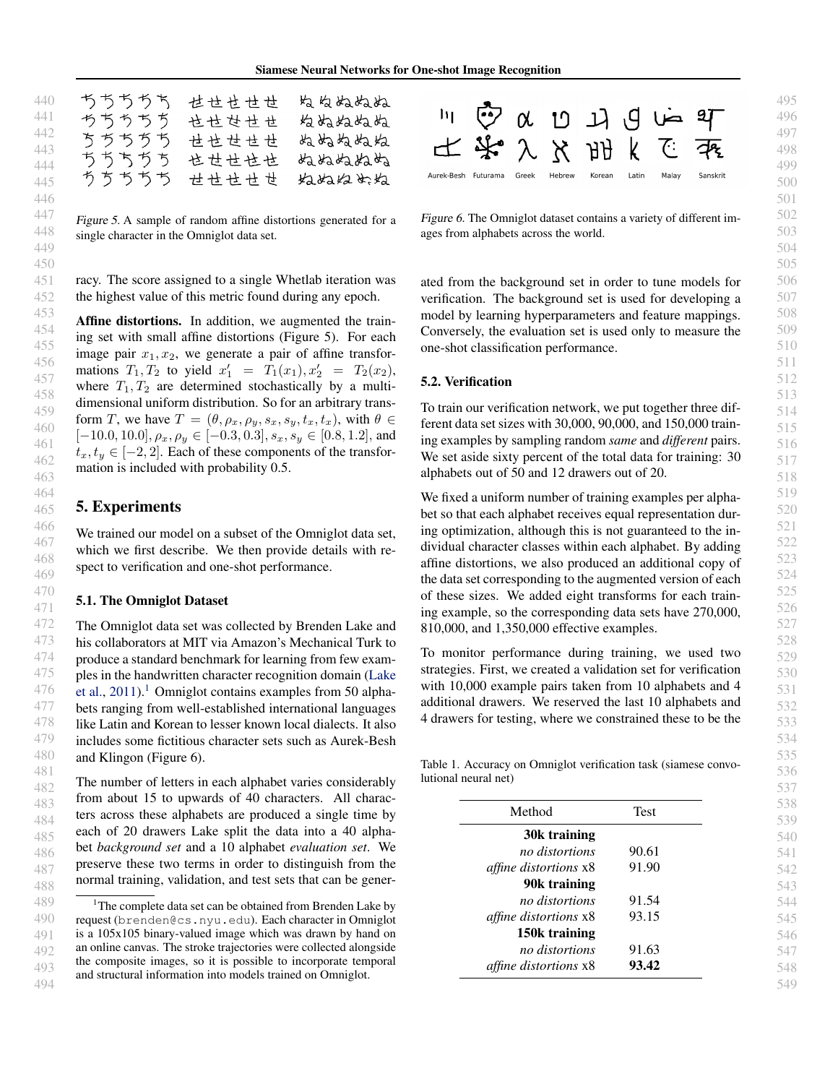| ちちちちち       | 世世世世世 | ぬ ぬぬぬぬ |
|-------------|-------|--------|
| ちちちちち       | 也せせせせ | ぬぬぬぬぬぬ |
| ちちちちち       | せせせせせ | ぬぬねぬぬ  |
| ちちちちち       | 也世世也也 | ぬぬぬねぬぬ |
| ちちちちち せせせせせ |       | ねぬねめぬ  |

Figure 5. A sample of random affine distortions generated for a single character in the Omniglot data set.

racy. The score assigned to a single Whetlab iteration was the highest value of this metric found during any epoch.

Affine distortions. In addition, we augmented the training set with small affine distortions (Figure 5). For each image pair  $x_1, x_2$ , we generate a pair of affine transformations  $T_1, T_2$  to yield  $x'_1 = T_1(x_1), x'_2 = T_2(x_2)$ , where  $T_1, T_2$  are determined stochastically by a multidimensional uniform distribution. So for an arbitrary transform T, we have  $T = (\theta, \rho_x, \rho_y, s_x, s_y, t_x, t_x)$ , with  $\theta \in$  $[-10.0, 10.0], \rho_x, \rho_y \in [-0.3, 0.3], s_x, s_y \in [0.8, 1.2],$  and  $t_x, t_y \in [-2, 2]$ . Each of these components of the transformation is included with probability 0.5.

### 5. Experiments

We trained our model on a subset of the Omniglot data set, which we first describe. We then provide details with respect to verification and one-shot performance.

#### 5.1. The Omniglot Dataset

The Omniglot data set was collected by Brenden Lake and his collaborators at MIT via Amazon's Mechanical Turk to produce a standard benchmark for learning from few examples in the handwritten character recognition domain [\(Lake](#page-7-0) [et al.,](#page-7-0)  $2011$ ).<sup>1</sup> Omniglot contains examples from 50 alphabets ranging from well-established international languages like Latin and Korean to lesser known local dialects. It also includes some fictitious character sets such as Aurek-Besh and Klingon (Figure 6).

The number of letters in each alphabet varies considerably from about 15 to upwards of 40 characters. All characters across these alphabets are produced a single time by each of 20 drawers Lake split the data into a 40 alphabet *background set* and a 10 alphabet *evaluation set*. We preserve these two terms in order to distinguish from the normal training, validation, and test sets that can be gener-



Figure 6. The Omniglot dataset contains a variety of different images from alphabets across the world.

ated from the background set in order to tune models for verification. The background set is used for developing a model by learning hyperparameters and feature mappings. Conversely, the evaluation set is used only to measure the one-shot classification performance.

#### 5.2. Verification

To train our verification network, we put together three different data set sizes with 30,000, 90,000, and 150,000 training examples by sampling random *same* and *different* pairs. We set aside sixty percent of the total data for training: 30 alphabets out of 50 and 12 drawers out of 20.

We fixed a uniform number of training examples per alphabet so that each alphabet receives equal representation during optimization, although this is not guaranteed to the individual character classes within each alphabet. By adding affine distortions, we also produced an additional copy of the data set corresponding to the augmented version of each of these sizes. We added eight transforms for each training example, so the corresponding data sets have 270,000, 810,000, and 1,350,000 effective examples.

To monitor performance during training, we used two strategies. First, we created a validation set for verification with 10,000 example pairs taken from 10 alphabets and 4 additional drawers. We reserved the last 10 alphabets and 4 drawers for testing, where we constrained these to be the

Table 1. Accuracy on Omniglot verification task (siamese convolutional neural net)

| Method                       | <b>Test</b> |
|------------------------------|-------------|
| 30k training                 |             |
| no distortions               | 90.61       |
| <i>affine distortions</i> x8 | 91.90       |
| 90k training                 |             |
| no distortions               | 91.54       |
| <i>affine distortions</i> x8 | 93.15       |
| 150k training                |             |
| no distortions               | 91.63       |
| <i>affine distortions</i> x8 | 93.42       |

<sup>493</sup> 494 <sup>1</sup>The complete data set can be obtained from Brenden Lake by request (brenden@cs.nyu.edu). Each character in Omniglot is a 105x105 binary-valued image which was drawn by hand on an online canvas. The stroke trajectories were collected alongside the composite images, so it is possible to incorporate temporal and structural information into models trained on Omniglot.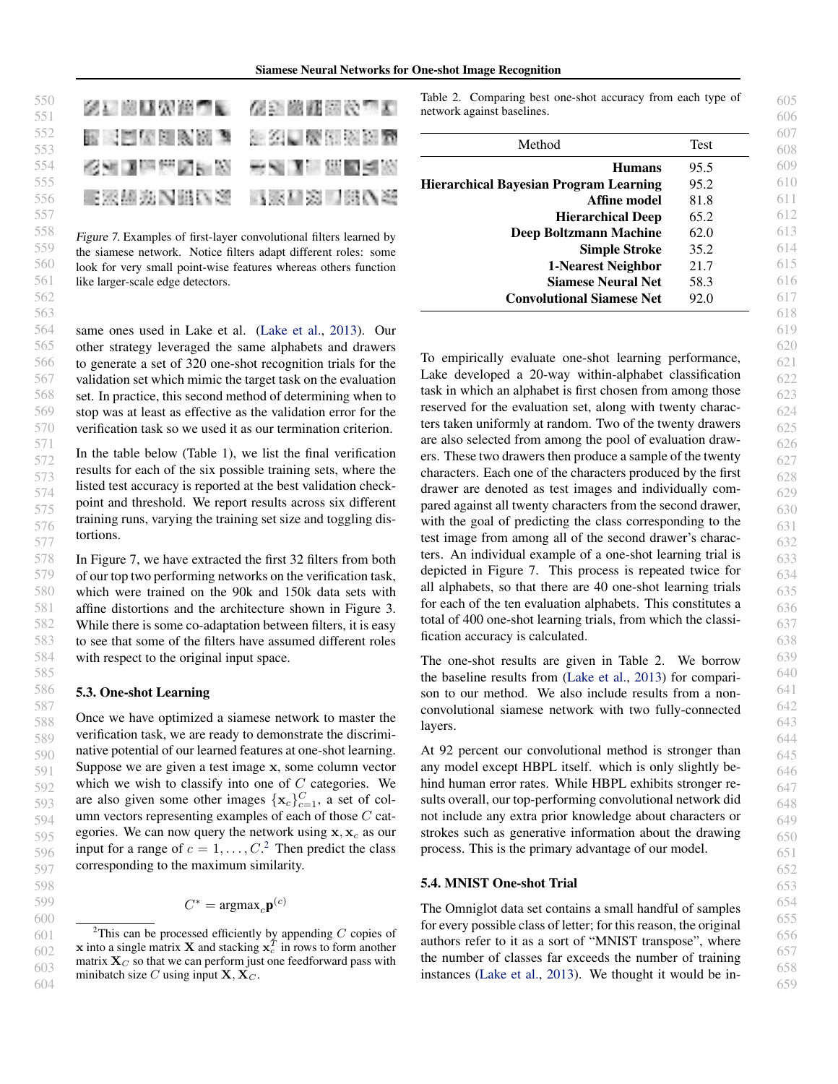#### Siamese Neural Networks for One-shot Image Recognition

| 医三脑膜炎细胞 化金酸醛酸处理素         |  |
|--------------------------|--|
| 医同血素细胞瘤 计多次自然处理器         |  |
| 经利润损失因利润 医动脉细胞瘤炎         |  |
| <b>医深植斑内细い类 马家和宽口细い类</b> |  |

Figure 7. Examples of first-layer convolutional filters learned by the siamese network. Notice filters adapt different roles: some look for very small point-wise features whereas others function like larger-scale edge detectors.

same ones used in Lake et al. [\(Lake et al.,](#page-7-0) [2013\)](#page-7-0). Our other strategy leveraged the same alphabets and drawers to generate a set of 320 one-shot recognition trials for the validation set which mimic the target task on the evaluation set. In practice, this second method of determining when to stop was at least as effective as the validation error for the verification task so we used it as our termination criterion.

In the table below (Table 1), we list the final verification results for each of the six possible training sets, where the listed test accuracy is reported at the best validation checkpoint and threshold. We report results across six different training runs, varying the training set size and toggling distortions.

In Figure 7, we have extracted the first 32 filters from both of our top two performing networks on the verification task, which were trained on the 90k and 150k data sets with affine distortions and the architecture shown in Figure 3. While there is some co-adaptation between filters, it is easy to see that some of the filters have assumed different roles with respect to the original input space.

#### 5.3. One-shot Learning

Once we have optimized a siamese network to master the verification task, we are ready to demonstrate the discriminative potential of our learned features at one-shot learning. Suppose we are given a test image x, some column vector which we wish to classify into one of  $C$  categories. We are also given some other images  $\{x_c\}_{c=1}^C$ , a set of column vectors representing examples of each of those  $C$  categories. We can now query the network using  $x, x_c$  as our input for a range of  $c = 1, \ldots, C$ .<sup>2</sup> Then predict the class corresponding to the maximum similarity.

 $C^* = \text{argmax}_c \mathbf{p}^{(c)}$ 

Table 2. Comparing best one-shot accuracy from each type of network against baselines.

| Method                                 | <b>Test</b> |
|----------------------------------------|-------------|
| <b>Humans</b>                          | 95.5        |
| Hierarchical Bayesian Program Learning | 95.2        |
| Affine model                           | 81.8        |
| <b>Hierarchical Deep</b>               | 65.2        |
| Deep Boltzmann Machine                 | 62.0        |
| <b>Simple Stroke</b>                   | 35.2        |
| 1-Nearest Neighbor                     | 21.7        |
| <b>Siamese Neural Net</b>              | 58.3        |
| <b>Convolutional Siamese Net</b>       | 92.0        |

To empirically evaluate one-shot learning performance, Lake developed a 20-way within-alphabet classification task in which an alphabet is first chosen from among those reserved for the evaluation set, along with twenty characters taken uniformly at random. Two of the twenty drawers are also selected from among the pool of evaluation drawers. These two drawers then produce a sample of the twenty characters. Each one of the characters produced by the first drawer are denoted as test images and individually compared against all twenty characters from the second drawer, with the goal of predicting the class corresponding to the test image from among all of the second drawer's characters. An individual example of a one-shot learning trial is depicted in Figure 7. This process is repeated twice for all alphabets, so that there are 40 one-shot learning trials for each of the ten evaluation alphabets. This constitutes a total of 400 one-shot learning trials, from which the classification accuracy is calculated.

The one-shot results are given in Table 2. We borrow the baseline results from [\(Lake et al.,](#page-7-0) [2013\)](#page-7-0) for comparison to our method. We also include results from a nonconvolutional siamese network with two fully-connected layers.

At 92 percent our convolutional method is stronger than any model except HBPL itself. which is only slightly behind human error rates. While HBPL exhibits stronger results overall, our top-performing convolutional network did not include any extra prior knowledge about characters or strokes such as generative information about the drawing process. This is the primary advantage of our model.

### 5.4. MNIST One-shot Trial

The Omniglot data set contains a small handful of samples for every possible class of letter; for this reason, the original authors refer to it as a sort of "MNIST transpose", where the number of classes far exceeds the number of training instances [\(Lake et al.,](#page-7-0) [2013\)](#page-7-0). We thought it would be in-

599 600

550

605 606 607

<sup>601</sup> 602 603 604 <sup>2</sup>This can be processed efficiently by appending  $C$  copies of **x** into a single matrix **X** and stacking  $\mathbf{x}_c^T$  in rows to form another matrix  $X_C$  so that we can perform just one feedforward pass with minibatch size C using input  $X, X_C$ .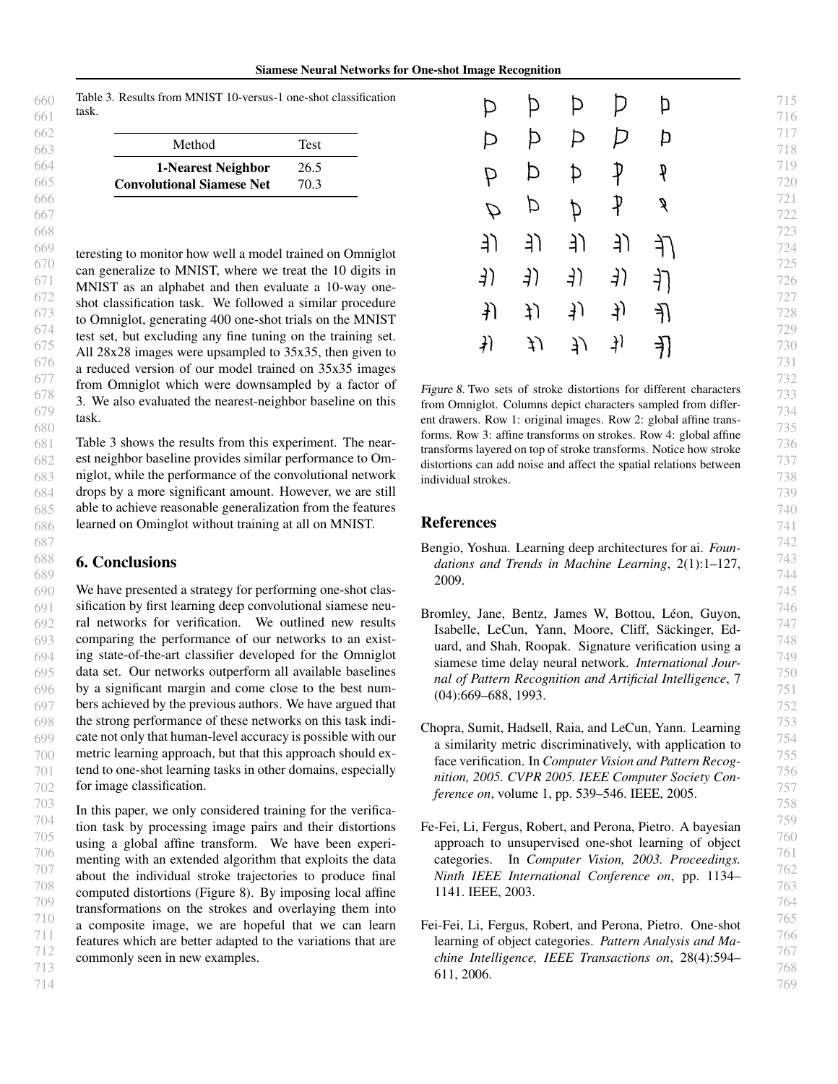<span id="page-6-0"></span>

|       |  | Table 3. Results from MNIST 10-versus-1 one-shot classification |
|-------|--|-----------------------------------------------------------------|
| task. |  |                                                                 |

| Method                           | <b>Test</b> |
|----------------------------------|-------------|
| 1-Nearest Neighbor               | 26.5        |
| <b>Convolutional Siamese Net</b> | 70.3        |

teresting to monitor how well a model trained on Omniglot can generalize to MNIST, where we treat the 10 digits in MNIST as an alphabet and then evaluate a 10-way oneshot classification task. We followed a similar procedure to Omniglot, generating 400 one-shot trials on the MNIST test set, but excluding any fine tuning on the training set. All 28x28 images were upsampled to 35x35, then given to a reduced version of our model trained on 35x35 images from Omniglot which were downsampled by a factor of 3. We also evaluated the nearest-neighbor baseline on this task.

Table 3 shows the results from this experiment. The nearest neighbor baseline provides similar performance to Omniglot, while the performance of the convolutional network drops by a more significant amount. However, we are still able to achieve reasonable generalization from the features learned on Ominglot without training at all on MNIST.

### 6. Conclusions

We have presented a strategy for performing one-shot classification by first learning deep convolutional siamese neural networks for verification. We outlined new results comparing the performance of our networks to an existing state-of-the-art classifier developed for the Omniglot data set. Our networks outperform all available baselines by a significant margin and come close to the best numbers achieved by the previous authors. We have argued that the strong performance of these networks on this task indicate not only that human-level accuracy is possible with our metric learning approach, but that this approach should extend to one-shot learning tasks in other domains, especially for image classification.

In this paper, we only considered training for the verification task by processing image pairs and their distortions using a global affine transform. We have been experimenting with an extended algorithm that exploits the data about the individual stroke trajectories to produce final computed distortions (Figure 8). By imposing local affine transformations on the strokes and overlaying them into a composite image, we are hopeful that we can learn features which are better adapted to the variations that are commonly seen in new examples.

| Þ             | Þ  | Þ   | D   | Þ           |
|---------------|----|-----|-----|-------------|
| Þ             | Þ  | Þ   | P   | Þ           |
| P             | Þ  | Þ   | ₽   | q           |
| $\mathcal{D}$ | Þ  | Þ   | ₽   | g           |
| ー             | (£ | ーリ  | J)  | ſf          |
| 3)            | 3) | ने) | 4)  | 打           |
| $\downarrow$  | ţ) | り   | ने) | 孔           |
| 爿             | ĮJ | リノ  | F)  | $\bigoplus$ |

Figure 8. Two sets of stroke distortions for different characters from Omniglot. Columns depict characters sampled from different drawers. Row 1: original images. Row 2: global affine transforms. Row 3: affine transforms on strokes. Row 4: global affine transforms layered on top of stroke transforms. Notice how stroke distortions can add noise and affect the spatial relations between individual strokes.

### References

- Bengio, Yoshua. Learning deep architectures for ai. *Foundations and Trends in Machine Learning*, 2(1):1–127, 2009.
- Bromley, Jane, Bentz, James W, Bottou, Léon, Guyon, Isabelle, LeCun, Yann, Moore, Cliff, Sackinger, Ed- ¨ uard, and Shah, Roopak. Signature verification using a siamese time delay neural network. *International Journal of Pattern Recognition and Artificial Intelligence*, 7 (04):669–688, 1993.
- Chopra, Sumit, Hadsell, Raia, and LeCun, Yann. Learning a similarity metric discriminatively, with application to face verification. In *Computer Vision and Pattern Recognition, 2005. CVPR 2005. IEEE Computer Society Conference on*, volume 1, pp. 539–546. IEEE, 2005.
- Fe-Fei, Li, Fergus, Robert, and Perona, Pietro. A bayesian approach to unsupervised one-shot learning of object categories. In *Computer Vision, 2003. Proceedings. Ninth IEEE International Conference on*, pp. 1134– 1141. IEEE, 2003.
- Fei-Fei, Li, Fergus, Robert, and Perona, Pietro. One-shot learning of object categories. *Pattern Analysis and Machine Intelligence, IEEE Transactions on*, 28(4):594– 611, 2006.